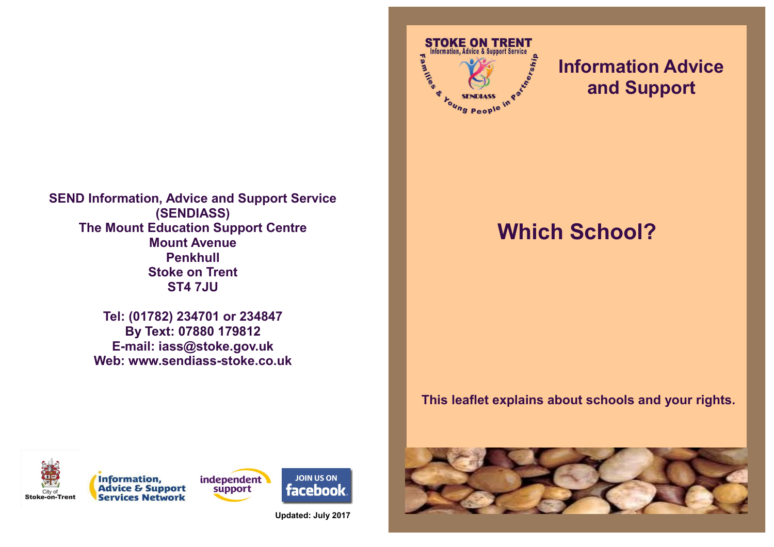

**Tel: (01782) 234701 or 234847 By Text: 07880 179812 E-mail: iass@stoke.gov.uk Web: www.sendiass-stoke.co.uk**



## **Information Advice and Support**

# **Which School?**

### **This leaflet explains about schools and your rights.**







**Updated: July 2017**